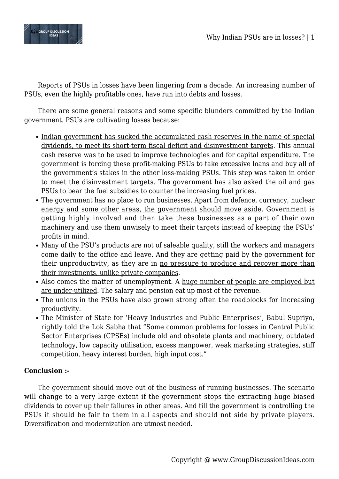

Reports of PSUs in losses have been lingering from a decade. An increasing number of PSUs, even the highly profitable ones, have run into debts and losses.

There are some general reasons and some specific blunders committed by the Indian government. PSUs are cultivating losses because:

- Indian government has sucked the accumulated cash reserves in the name of special dividends, to meet its short-term fiscal deficit and disinvestment targets. This annual cash reserve was to be used to improve technologies and for capital expenditure. The government is forcing these profit-making PSUs to take excessive loans and buy all of the government's stakes in the other loss-making PSUs. This step was taken in order to meet the disinvestment targets. The government has also asked the oil and gas PSUs to bear the fuel subsidies to counter the increasing fuel prices.
- The government has no place to run businesses. Apart from defence, currency, nuclear energy and some other areas, the government should move aside. Government is getting highly involved and then take these businesses as a part of their own machinery and use them unwisely to meet their targets instead of keeping the PSUs' profits in mind.
- Many of the PSU's products are not of saleable quality, still the workers and managers come daily to the office and leave. And they are getting paid by the government for their unproductivity, as they are in no pressure to produce and recover more than their investments, unlike private companies.
- Also comes the matter of unemployment. A huge number of people are employed but are under-utilized. The salary and pension eat up most of the revenue.
- The unions in the PSUs have also grown strong often the roadblocks for increasing productivity.
- The Minister of State for 'Heavy Industries and Public Enterprises', Babul Supriyo, rightly told the Lok Sabha that "Some common problems for losses in Central Public Sector Enterprises (CPSEs) include old and obsolete plants and machinery, outdated technology, low capacity utilisation, excess manpower, weak marketing strategies, stiff competition, heavy interest burden, high input cost."

## **Conclusion :-**

The government should move out of the business of running businesses. The scenario will change to a very large extent if the government stops the extracting huge biased dividends to cover up their failures in other areas. And till the government is controlling the PSUs it should be fair to them in all aspects and should not side by private players. Diversification and modernization are utmost needed.